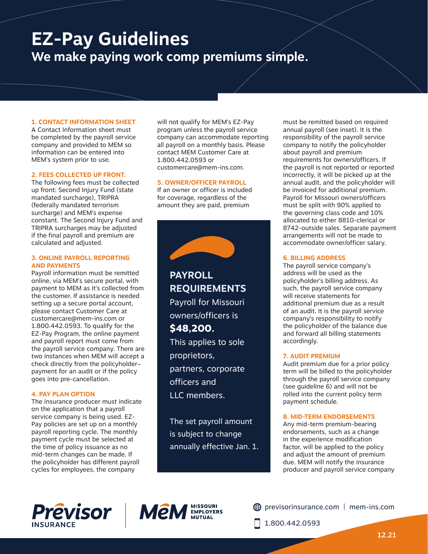# **EZ-Pay Guidelines We make paying work comp premiums simple.**

# **1. CONTACT INFORMATION SHEET**

A Contact Information sheet must be completed by the payroll service company and provided to MEM so information can be entered into MEM's system prior to use.

#### **2. FEES COLLECTED UP FRONT.**

The following fees must be collected up front: Second Injury Fund (state mandated surcharge), TRIPRA (federally mandated terrorism surcharge) and MEM's expense constant. The Second Injury Fund and TRIPRA surcharges may be adjusted if the final payroll and premium are calculated and adjusted.

#### **3. ONLINE PAYROLL REPORTING AND PAYMENTS**

Payroll information must be remitted online, via MEM's secure portal, with payment to MEM as it's collected from the customer. If assistance is needed setting up a secure portal account, please contact Customer Care at customercare@mem-ins.com or 1.800.442.0593. To qualify for the EZ-Pay Program, the online payment and payroll report must come from the payroll service company. There are two instances when MEM will accept a check directly from the policyholder– payment for an audit or if the policy goes into pre-cancellation.

# **4. PAY PLAN OPTION**

The insurance producer must indicate on the application that a payroll service company is being used. EZ-Pay policies are set up on a monthly payroll reporting cycle. The monthly payment cycle must be selected at the time of policy issuance as no mid-term changes can be made. If the policyholder has different payroll cycles for employees, the company

will not qualify for MEM's EZ-Pay program unless the payroll service company can accommodate reporting all payroll on a monthly basis. Please contact MEM Customer Care at 1.800.442.0593 or customercare@mem-ins.com.

#### **5. OWNER/OFFICER PAYROLL**

If an owner or officer is included for coverage, regardless of the amount they are paid, premium



**PAYROLL REQUIREMENTS** Payroll for Missouri owners/officers is **\$48,200.**

This applies to sole proprietors, partners, corporate officers and LLC members.

The set payroll amount is subject to change annually effective Jan. 1.

must be remitted based on required annual payroll (see inset). It is the responsibility of the payroll service company to notify the policyholder about payroll and premium requirements for owners/officers. If the payroll is not reported or reported incorrectly, it will be picked up at the annual audit, and the policyholder will be invoiced for additional premium. Payroll for Missouri owners/officers must be split with 90% applied to the governing class code and 10% allocated to either 8810-clerical or 8742-outside sales. Separate payment arrangements will not be made to accommodate owner/officer salary.

# **6. BILLING ADDRESS**

The payroll service company's address will be used as the policyholder's billing address. As such, the payroll service company will receive statements for additional premium due as a result of an audit. It is the payroll service company's responsibility to notify the policyholder of the balance due and forward all billing statements accordingly.

# **7. AUDIT PREMIUM**

Audit premium due for a prior policy term will be billed to the policyholder through the payroll service company (see guideline 6) and will not be rolled into the current policy term payment schedule.

# **8. MID-TERM ENDORSEMENTS**

Any mid-term premium-bearing endorsements, such as a change in the experience modification factor, will be applied to the policy and adjust the amount of premium due. MEM will notify the insurance producer and payroll service company





previsorinsurance.com | mem-ins.com